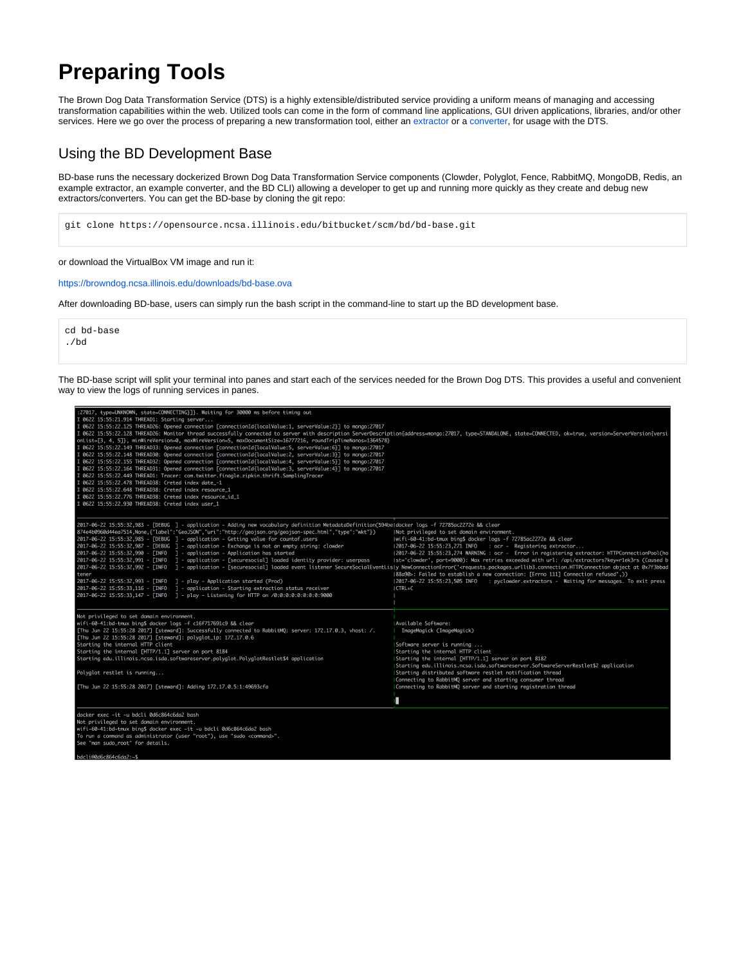# **Preparing Tools**

The Brown Dog Data Transformation Service (DTS) is a highly extensible/distributed service providing a uniform means of managing and accessing transformation capabilities within the web. Utilized tools can come in the form of command line applications, GUI driven applications, libraries, and/or other services. Here we go over the process of preparing a new transformation tool, either an [extractor](https://opensource.ncsa.illinois.edu/confluence/display/BD/Definitions#Definitions-extractions) or a [converter,](https://opensource.ncsa.illinois.edu/confluence/display/BD/Definitions#Definitions-conversions) for usage with the DTS.

# Using the BD Development Base

BD-base runs the necessary dockerized Brown Dog Data Transformation Service components (Clowder, Polyglot, Fence, RabbitMQ, MongoDB, Redis, an example extractor, an example converter, and the BD CLI) allowing a developer to get up and running more quickly as they create and debug new extractors/converters. You can get the BD-base by cloning the git repo:

git clone https://opensource.ncsa.illinois.edu/bitbucket/scm/bd/bd-base.git

or download the VirtualBox VM image and run it:

<https://browndog.ncsa.illinois.edu/downloads/bd-base.ova>

After downloading BD-base, users can simply run the bash script in the command-line to start up the BD development base.

cd bd-base ./bd

The BD-base script will split your terminal into panes and start each of the services needed for the Brown Dog DTS. This provides a useful and convenient way to view the logs of running services in panes.

| :27017, type=UNKNOWN, state=CONNECTING}]}. Waiting for 30000 ms before timing out<br>I 0622 15:55:21.914 THREAD1: Starting server<br>I 0622 15:55:22.125 THREAD26: Opened connection [connectionId{localValue:1, serverValue:2}] to mongo:27017<br>I 0622 15:55:22.128 THREAD26: Monitor thread successfully connected to server with description ServerDescription{address=mongo:27017, type=STANDALONE, state=CONNECTED, ok=true, version=ServerVersion{versi<br>onList=[3, 4, 5]}, minWireVersion=0, maxWireVersion=5, maxDocumentSize=16777216, roundTripTimeNanos=1364578}<br>I 0622 15:55:22.149 THREAD33: Opened connection [connectionId{localValue:5, serverValue:6}] to mongo:27017<br>I 0622 15:55:22.148 THREAD30: Opened connection [connectionId{localValue:2, serverValue:3}] to mongo:27017<br>I 0622 15:55:22.155 THREAD32: Opened connection [connectionId{localValue:4, serverValue:5}] to mongo:27017<br>I 0622 15:55:22.164 THREAD31: Opened connection [connectionId{localValue:3, serverValue:4}] to mongo:27017<br>0622 15:55:22.449 THREAD1: Tracer: com.twitter.finagle.zipkin.thrift.SamplingTracer<br>0622 15:55:22.478 THREAD38: Creted index date_-1<br>0622 15:55:22.648 THREAD38: Creted index resource_1<br>I 0622 15:55:22.776 THREAD38: Creted index resource_id_1<br>I 0622 15:55:22.930 THREAD38: Creted index user_1 |                                                                                                                                                                                                                                                                                                                                                                                                                                                                                                                                                                                |
|------------------------------------------------------------------------------------------------------------------------------------------------------------------------------------------------------------------------------------------------------------------------------------------------------------------------------------------------------------------------------------------------------------------------------------------------------------------------------------------------------------------------------------------------------------------------------------------------------------------------------------------------------------------------------------------------------------------------------------------------------------------------------------------------------------------------------------------------------------------------------------------------------------------------------------------------------------------------------------------------------------------------------------------------------------------------------------------------------------------------------------------------------------------------------------------------------------------------------------------------------------------------------------------------------------------------------------------------------------|--------------------------------------------------------------------------------------------------------------------------------------------------------------------------------------------------------------------------------------------------------------------------------------------------------------------------------------------------------------------------------------------------------------------------------------------------------------------------------------------------------------------------------------------------------------------------------|
| 2017-06-22 15:55:32.983 - [DEBUG ] - application - Adding new vocabulary definition MetadataDefinition(594beldocker loas -f 72785ac2272e && clear<br>874e4b0960d44ea7514, None, {"label":"GeoJSON", "uri":"http://geojson.org/geojson-spec.html", "type":"wkt"})<br>$2017-06-22$ 15:55:32,985 - [DEBUG ] - application - Getting value for countof.users<br>2017-06-22 15:55:32,987 - [DEBUG ] - application - Exchange is not an empty string: clowder<br>$2017-06-22$ 15:55:32,990 - [INFO ] - application - Application has started<br>2017-06-22 15:55:32,991 - [INFO ] - application - [securesocial] loaded identity provider: userpass<br>2017-06-22 15:55:32.992 - [INFO] - application - [securesocial] loaded event listener SecureSocialEventLisJy NewConnectionError(' <requests.packages.urllib3.connection.httpconnection 0x7f3bbad<br="" at="" object="">tener<br/>2017-06-22 15:55:32,993 - [INFO ] - play - Application started (Prod)<br/>2017-06-22 15:55:33,116 - [INFO] - application - Starting extraction status receiver<br/>2017-06-22 15:55:33.147 - [INFO ] - play - Listening for HTTP on /0:0:0:0:0:0:0:0:9000</requests.packages.urllib3.connection.httpconnection>                                                                                                                                                          | Not privileged to set domain environment.<br> wifi-60-41:bd-tmux bing\$ docker logs -f 72785ac2272e && clear<br> 2017-06-22 15:55:23,271 INFO : ocr - Registering extractor<br>12017-06-22 15:55:23,274 WARNING : ocr - Error in registering extractor: HTTPConnectionPool(ho<br> st='clowder', port=9000): Max retries exceeded with url: /api/extractors?key=r1ek3rs (Caused b<br>(88a90>: Failed to establish a new connection: [Errno 111] Connection refused',))<br> 2017-06-22 15:55:23,505 INFO : pyclowder.extractors - Waiting for messages. To exit press<br>ICTRL+C |
| Not privileged to set domain environment.<br>wifi-60-41:bd-tmux bing\$ docker logs -f c16f717691c9 && clear<br>[Thu Jun 22 15:55:28 2017] [steward]: Successfully connected to RabbitMQ: server: 172.17.0.3, vhost: /.<br>[Thu Jun 22 15:55:28 2017] [steward]: polyglot_ip: 172.17.0.6<br>Starting the internal HTTP client<br>Starting the internal [HTTP/1.1] server on port 8184<br>Starting edu.illinois.ncsa.isda.softwareserver.polyglot.PolyglotRestlet\$4 application<br>Polyglot restlet is running<br>[Thu Jun 22 15:55:28 2017] [steward]: Adding 172.17.0.5:1:49693cfa                                                                                                                                                                                                                                                                                                                                                                                                                                                                                                                                                                                                                                                                                                                                                                        | Available Software:<br>ImageMagick (ImageMagick)<br>Software server is running<br>Starting the internal HTTP client<br>Starting the internal [HTTP/1.1] server on port 8182<br>Starting edu.illinois.ncsa.isda.softwareserver.SoftwareServerRestlet\$2 application<br>Starting distributed software restlet notification thread<br>Connecting to RabbitMQ server and starting consumer thread<br>Connecting to RabbitMQ server and starting registration thread                                                                                                                |
| docker exec -it -u bdcli 0d6c864c6da2 bash<br>Not privileged to set domain environment.<br>wifi-60-41:bd-tmux bing\$ docker exec -it -u bdcli 0d6c864c6da2 bash<br>To run a command as administrator (user "root"), use "sudo <command/> ".<br>Soo "man sudo noot" fon details                                                                                                                                                                                                                                                                                                                                                                                                                                                                                                                                                                                                                                                                                                                                                                                                                                                                                                                                                                                                                                                                             |                                                                                                                                                                                                                                                                                                                                                                                                                                                                                                                                                                                |

li@0d6c864c6d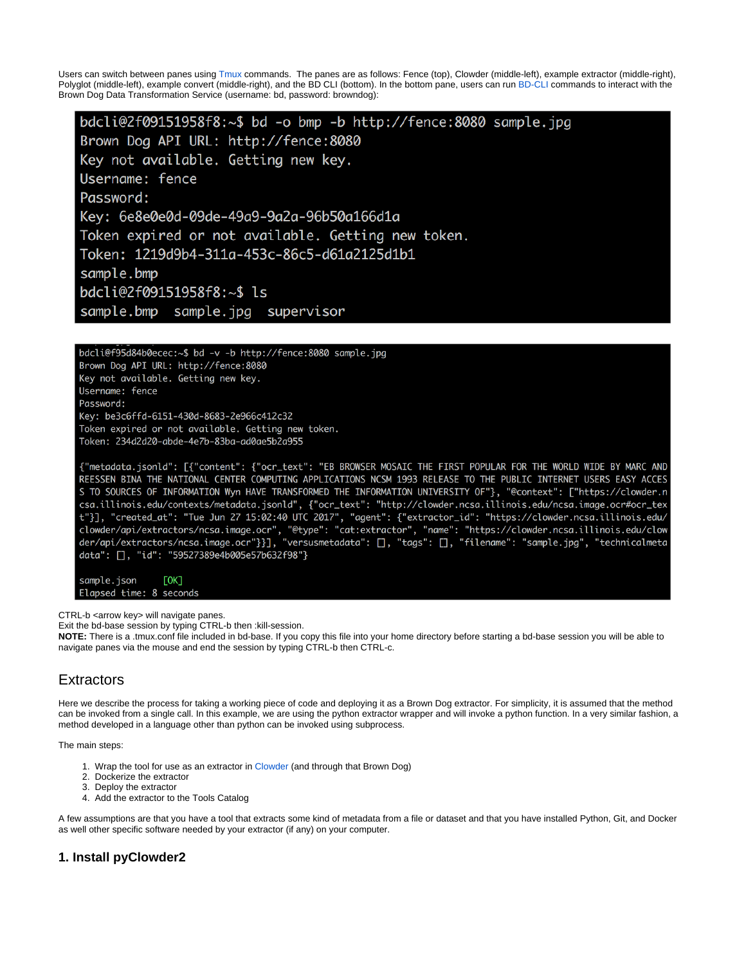Users can switch between panes using [Tmux](https://www.poftut.com/linux-tmux-tutorial-command-examples/) commands. The panes are as follows: Fence (top), Clowder (middle-left), example extractor (middle-right), Polyglot (middle-left), example convert (middle-right), and the BD CLI (bottom). In the bottom pane, users can run [BD-CLI](https://opensource.ncsa.illinois.edu/confluence/display/BD/BD+CLI) commands to interact with the Brown Dog Data Transformation Service (username: bd, password: browndog):

bdcli@2f09151958f8:~\$ bd -o bmp -b http://fence:8080 sample.jpg Brown Dog API URL: http://fence:8080 Key not available. Getting new key. Username: fence Password: Key: 6e8e0e0d-09de-49a9-9a2a-96b50a166d1a Token expired or not available. Getting new token. Token: 1219d9b4-311a-453c-86c5-d61a2125d1b1 sample.bmp bdcli@2f09151958f8:~\$ ls

sample.bmp sample.jpg supervisor

bdcli@f95d84b0ecec:~\$ bd -v -b http://fence:8080 sample.jpg Brown Dog API URL: http://fence:8080 Key not available. Getting new key. Username: fence Password: Key: be3c6ffd-6151-430d-8683-2e966c412c32 Token expired or not available. Getting new token. Token: 234d2d20-abde-4e7b-83ba-ad0ae5b2a955

{"metadata.jsonld": [{"content": {"ocr\_text": "EB BROWSER MOSAIC THE FIRST POPULAR FOR THE WORLD WIDE BY MARC AND REESSEN BINA THE NATIONAL CENTER COMPUTING APPLICATIONS NCSM 1993 RELEASE TO THE PUBLIC INTERNET USERS EASY ACCES S TO SOURCES OF INFORMATION Wyn HAVE TRANSFORMED THE INFORMATION UNIVERSITY OF"}, "@context": ["https://clowder.n csa.illinois.edu/contexts/metadata.jsonld", {"ocr\_text": "http://clowder.ncsa.illinois.edu/ncsa.image.ocr#ocr\_tex t"}], "created\_at": "Tue Jun 27 15:02:40 UTC 2017", "agent": {"extractor\_id": "https://clowder.ncsa.illinois.edu/ clowder/api/extractors/ncsa.image.ocr", "@type": "cat:extractor", "name": "https://clowder.ncsa.illinois.edu/clow<br>der/api/extractors/ncsa.image.ocr"}}], "versusmetadata": [], "tags": [], "filename": "sample.jpg", "technica data": [], "id": "59527389e4b005e57b632f98"}

sample.json  $LOK$ Elapsed time: 8 seconds

CTRL-b <arrow key> will navigate panes.

Exit the bd-base session by typing CTRL-b then :kill-session.

**NOTE:** There is a .tmux.conf file included in bd-base. If you copy this file into your home directory before starting a bd-base session you will be able to navigate panes via the mouse and end the session by typing CTRL-b then CTRL-c.

# **Extractors**

Here we describe the process for taking a working piece of code and deploying it as a Brown Dog extractor. For simplicity, it is assumed that the method can be invoked from a single call. In this example, we are using the python extractor wrapper and will invoke a python function. In a very similar fashion, a method developed in a language other than python can be invoked using subprocess.

The main steps:

- 1. Wrap the tool for use as an extractor in [Clowder](https://opensource.ncsa.illinois.edu/confluence/display/BD/Definitions#Definitions-clowder) (and through that Brown Dog)
- 2. Dockerize the extractor
- 3. Deploy the extractor
- 4. Add the extractor to the Tools Catalog

A few assumptions are that you have a tool that extracts some kind of metadata from a file or dataset and that you have installed Python, Git, and Docker as well other specific software needed by your extractor (if any) on your computer.

## **1. Install pyClowder2**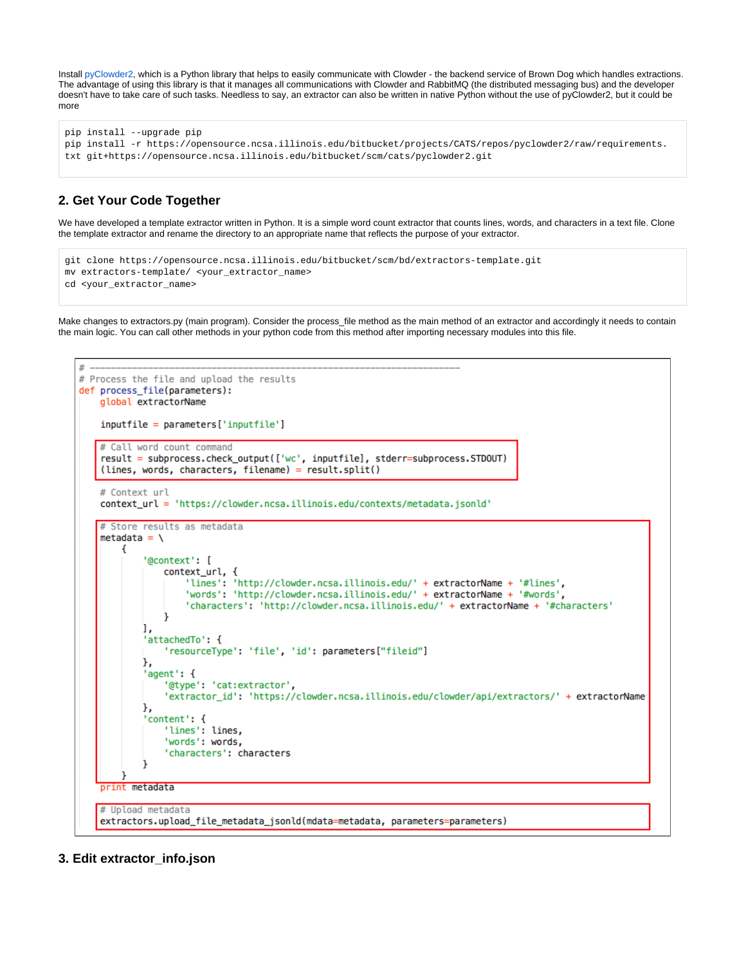Install [pyClowder2](https://opensource.ncsa.illinois.edu/bitbucket/projects/CATS/repos/pyclowder2/), which is a Python library that helps to easily communicate with Clowder - the backend service of Brown Dog which handles extractions. The advantage of using this library is that it manages all communications with Clowder and RabbitMQ (the distributed messaging bus) and the developer doesn't have to take care of such tasks. Needless to say, an extractor can also be written in native Python without the use of pyClowder2, but it could be more

```
pip install --upgrade pip
pip install -r https://opensource.ncsa.illinois.edu/bitbucket/projects/CATS/repos/pyclowder2/raw/requirements.
txt git+https://opensource.ncsa.illinois.edu/bitbucket/scm/cats/pyclowder2.git
```
# **2. Get Your Code Together**

We have developed a template extractor written in Python. It is a simple word count extractor that counts lines, words, and characters in a text file. Clone the template extractor and rename the directory to an appropriate name that reflects the purpose of your extractor.

```
git clone https://opensource.ncsa.illinois.edu/bitbucket/scm/bd/extractors-template.git
mv extractors-template/ <your_extractor_name>
cd <your_extractor_name>
```
Make changes to extractors.py (main program). Consider the process\_file method as the main method of an extractor and accordingly it needs to contain the main logic. You can call other methods in your python code from this method after importing necessary modules into this file.



**3. Edit extractor\_info.json**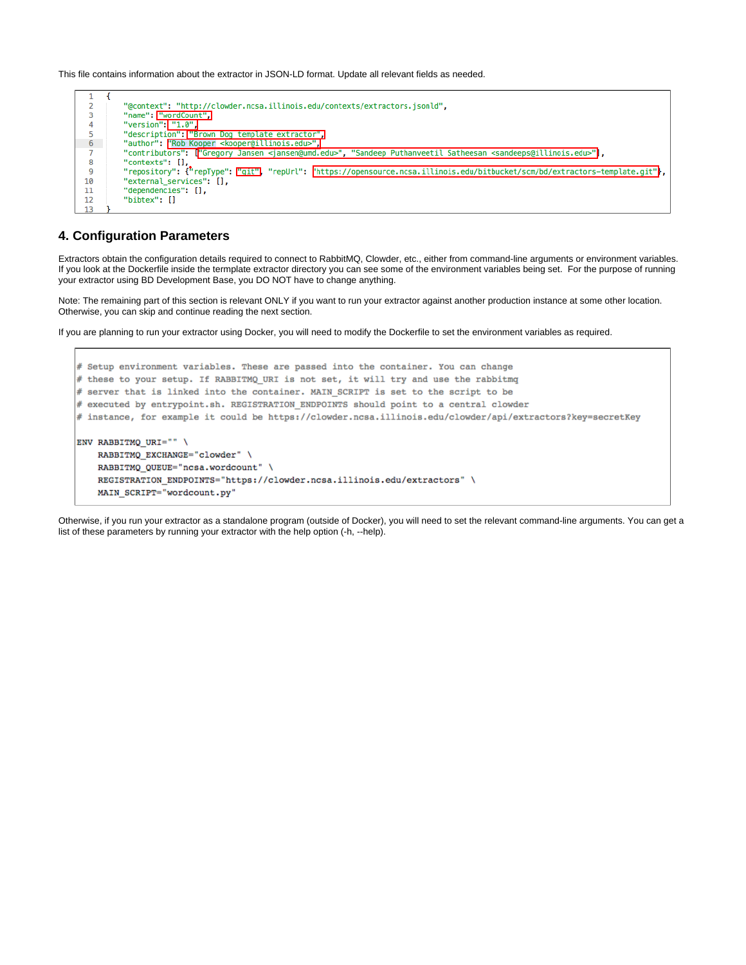This file contains information about the extractor in JSON-LD format. Update all relevant fields as needed.



#### **4. Configuration Parameters**

Extractors obtain the configuration details required to connect to RabbitMQ, Clowder, etc., either from command-line arguments or environment variables. If you look at the Dockerfile inside the termplate extractor directory you can see some of the environment variables being set. For the purpose of running your extractor using BD Development Base, you DO NOT have to change anything.

Note: The remaining part of this section is relevant ONLY if you want to run your extractor against another production instance at some other location. Otherwise, you can skip and continue reading the next section.

If you are planning to run your extractor using Docker, you will need to modify the Dockerfile to set the environment variables as required.

```
# Setup environment variables. These are passed into the container. You can change
# these to your setup. If RABBITMQ_URI is not set, it will try and use the rabbitmq
# server that is linked into the container. MAIN SCRIPT is set to the script to be
# executed by entrypoint.sh. REGISTRATION ENDPOINTS should point to a central clowder
# instance, for example it could be https://clowder.ncsa.illinois.edu/clowder/api/extractors?key=secretKey
ENV RABBITMQ URI="" \
   RABBITMQ EXCHANGE="clowder" \
   RABBITMQ QUEUE="ncsa.wordcount" \
   REGISTRATION ENDPOINTS="https://clowder.ncsa.illinois.edu/extractors" \
   MAIN SCRIPT="wordcount.py"
```
Otherwise, if you run your extractor as a standalone program (outside of Docker), you will need to set the relevant command-line arguments. You can get a list of these parameters by running your extractor with the help option (-h, --help).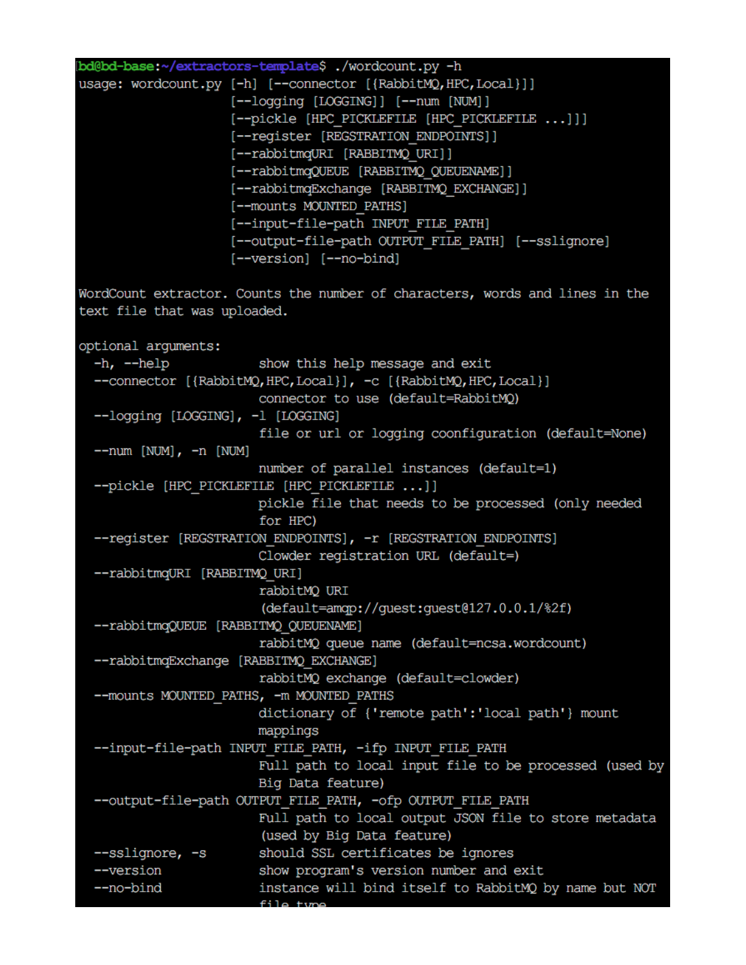|                                      | bd@bd-base:~/extractors-template\$ ./wordcount.py -h                         |
|--------------------------------------|------------------------------------------------------------------------------|
|                                      | usage: wordcount.py [-h] [--connector [{RabbitMQ, HPC, Local}]]              |
|                                      | [--logging [LOGGING]] [--num [NUM]]                                          |
|                                      | [--pickle [HPC PICKLEFILE [HPC PICKLEFILE ]]]                                |
|                                      | [--register [REGSTRATION ENDPOINTS]]                                         |
|                                      | [--rabbitmqURI [RABBITMQ URI]]                                               |
|                                      | [--rabbitmqQUEUE [RABBITMQ QUEUENAME]]                                       |
|                                      | [--rabbitmqExchange [RABBITMQ EXCHANGE]]                                     |
|                                      | [--mounts MOUNTED PATHS]                                                     |
|                                      | [--input-file-path INPUT FILE PATH]                                          |
|                                      | [--output-file-path OUTPUT FILE PATH] [--sslignore]                          |
|                                      | [--version] [--no-bind]                                                      |
|                                      | WordCount extractor. Counts the number of characters, words and lines in the |
| text file that was uploaded.         |                                                                              |
|                                      |                                                                              |
| optional arguments:                  |                                                                              |
| $-h, -h$ elp                         | show this help message and exit                                              |
|                                      | --connector [{RabbitMQ, HPC, Local}], -c [{RabbitMQ, HPC, Local}]            |
|                                      | connector to use (default=RabbitMQ)                                          |
| --logging [LOGGING], -1 [LOGGING]    |                                                                              |
|                                      | file or url or logging coonfiguration (default=None)                         |
| $--num$ [NUM], $-n$ [NUM]            |                                                                              |
|                                      | number of parallel instances (default=1)                                     |
|                                      | --pickle [HPC PICKLEFILE [HPC PICKLEFILE ]]                                  |
|                                      | pickle file that needs to be processed (only needed                          |
|                                      | for HPC)                                                                     |
|                                      | --register [REGSTRATION ENDPOINTS], -r [REGSTRATION ENDPOINTS]               |
|                                      | Clowder registration URL (default=)                                          |
| --rabbitmqURI [RABBITMQ URI]         |                                                                              |
|                                      | rabbitMQ URI                                                                 |
|                                      | (default=amqp://guest:guest@127.0.0.1/%2f)                                   |
| --rabbitmqQUEUE [RABBITMQ QUEUENAME] |                                                                              |
|                                      | rabbitMQ queue name (default=ncsa.wordcount)                                 |
|                                      | --rabbitmqExchange [RABBITMQ EXCHANGE]                                       |
|                                      | rabbitMQ exchange (default=clowder)                                          |
|                                      | -- mounts MOUNTED PATHS, - m MOUNTED PATHS                                   |
|                                      | dictionary of {'remote path':'local path'} mount                             |
|                                      | mappings                                                                     |
|                                      | --input-file-path INPUT FILE PATH, -ifp INPUT FILE PATH                      |
|                                      | Full path to local input file to be processed (used by                       |
|                                      | Big Data feature)                                                            |
|                                      | --output-file-path OUTPUT FILE PATH, -ofp OUTPUT FILE PATH                   |
|                                      | Full path to local output JSON file to store metadata                        |
|                                      | (used by Big Data feature)                                                   |
| --sslignore, -s                      | should SSL certificates be ignores                                           |
| --version                            | show program's version number and exit                                       |
| --no-bind                            | instance will bind itself to RabbitMQ by name but NOT                        |
|                                      |                                                                              |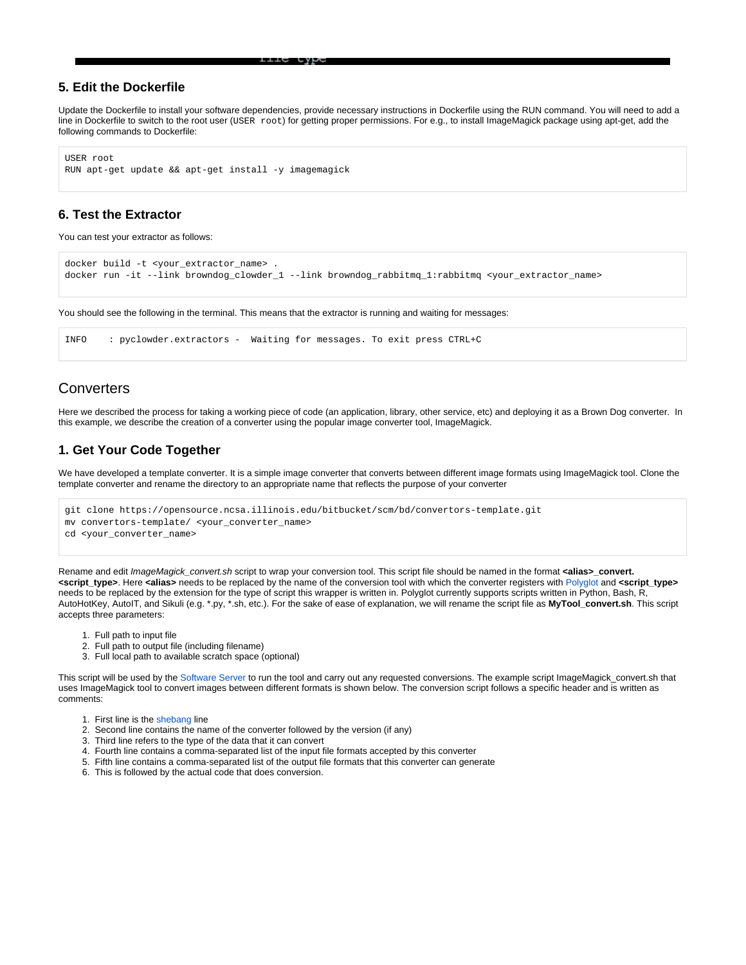## **5. Edit the Dockerfile**

Update the Dockerfile to install your software dependencies, provide necessary instructions in Dockerfile using the RUN command. You will need to add a line in Dockerfile to switch to the root user (USER root) for getting proper permissions. For e.g., to install ImageMagick package using apt-get, add the following commands to Dockerfile:

```
USER root
RUN apt-get update && apt-get install -y imagemagick
```
# **6. Test the Extractor**

You can test your extractor as follows:

```
docker build -t <your_extractor_name> .
docker run -it --link browndog_clowder_1 --link browndog_rabbitmq_1:rabbitmq <your_extractor_name>
```
You should see the following in the terminal. This means that the extractor is running and waiting for messages:

```
INFO : pyclowder.extractors - Waiting for messages. To exit press CTRL+C
```
# **Converters**

Here we described the process for taking a working piece of code (an application, library, other service, etc) and deploying it as a Brown Dog converter. In this example, we describe the creation of a converter using the popular image converter tool, ImageMagick.

## **1. Get Your Code Together**

We have developed a template converter. It is a simple image converter that converts between different image formats using ImageMagick tool. Clone the template converter and rename the directory to an appropriate name that reflects the purpose of your converter

```
git clone https://opensource.ncsa.illinois.edu/bitbucket/scm/bd/convertors-template.git
mv convertors-template/ <your_converter_name>
cd <your_converter_name>
```
Rename and edit ImageMagick\_convert.sh script to wrap your conversion tool. This script file should be named in the format **<alias>\_convert. <script\_type>**. Here **<alias>** needs to be replaced by the name of the conversion tool with which the converter registers with [Polyglot](https://opensource.ncsa.illinois.edu/confluence/display/BD/Definitions#Definitions-polyglot) and **<script\_type>** needs to be replaced by the extension for the type of script this wrapper is written in. Polyglot currently supports scripts written in Python, Bash, R, AutoHotKey, AutoIT, and Sikuli (e.g. \*.py, \*.sh, etc.). For the sake of ease of explanation, we will rename the script file as **MyTool\_convert.sh**. This script accepts three parameters:

- 1. Full path to input file
- 2. Full path to output file (including filename)
- 3. Full local path to available scratch space (optional)

This script will be used by the [Software Server](https://opensource.ncsa.illinois.edu/confluence/display/BD/Definitions#Definitions-softwareserver) to run the tool and carry out any requested conversions. The example script ImageMagick\_convert.sh that uses ImageMagick tool to convert images between different formats is shown below. The conversion script follows a specific header and is written as comments:

- 1. First line is the [shebang](https://en.wikipedia.org/wiki/Shebang_(Unix)) line
- 2. Second line contains the name of the converter followed by the version (if any)
- 3. Third line refers to the type of the data that it can convert
- 4. Fourth line contains a comma-separated list of the input file formats accepted by this converter
- 5. Fifth line contains a comma-separated list of the output file formats that this converter can generate
- 6. This is followed by the actual code that does conversion.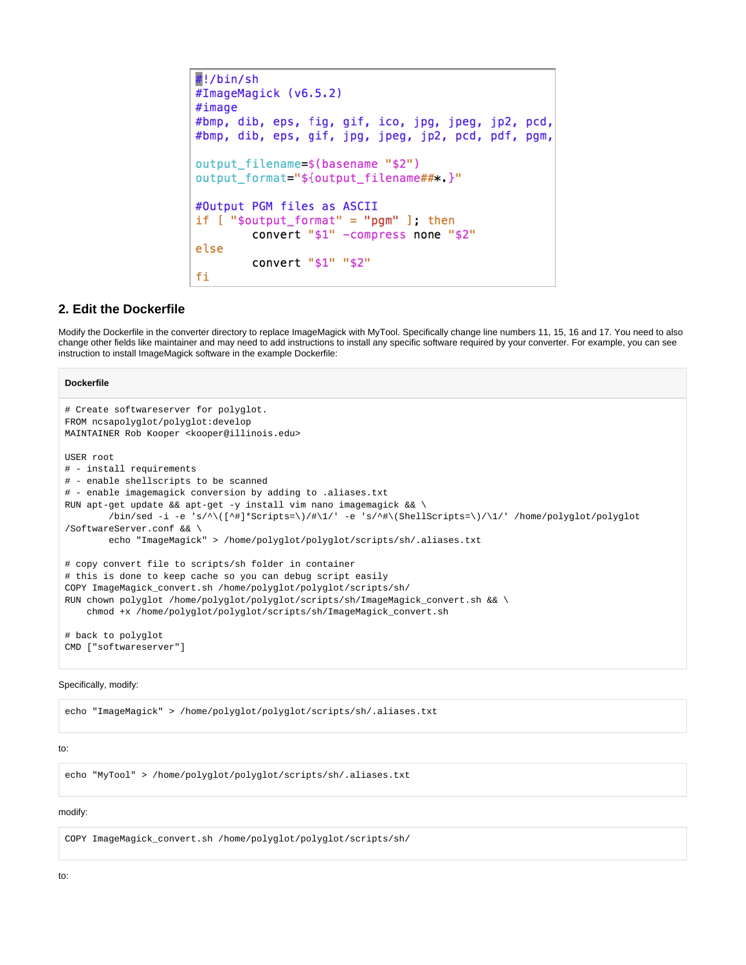```
#!/bin/sh#ImageMagick (v6.5.2)
#image
#bmp, dib, eps, fig, gif, ico, jpg, jpeg, jp2, pcd,
#bmp, dib, eps, gif, jpg, jpeg, jp2, pcd, pdf, pgm,
output filename=$(basename "$2")
output_format="${output_filename##*.}"
#Output PGM files as ASCII
if [ "$output_format" = "pgm" ]; then
        convert "$1" -compress none "$2"
else
        convert "$1" "$2"
fi
```
## **2. Edit the Dockerfile**

Modify the Dockerfile in the converter directory to replace ImageMagick with MyTool. Specifically change line numbers 11, 15, 16 and 17. You need to also change other fields like maintainer and may need to add instructions to install any specific software required by your converter. For example, you can see instruction to install ImageMagick software in the example Dockerfile:

#### **Dockerfile**

```
# Create softwareserver for polyglot.
FROM ncsapolyglot/polyglot:develop
MAINTAINER Rob Kooper <kooper@illinois.edu>
USER root
# - install requirements
# - enable shellscripts to be scanned
# - enable imagemagick conversion by adding to .aliases.txt
RUN apt-get update && apt-get -y install vim nano imagemagick && \
        /bin/sed -i -e 's/^\([^#]*Scripts=\)/#\1/' -e 's/^#\(ShellScripts=\)/\1/' /home/polyglot/polyglot
/SoftwareServer.conf && \
        echo "ImageMagick" > /home/polyglot/polyglot/scripts/sh/.aliases.txt
# copy convert file to scripts/sh folder in container
# this is done to keep cache so you can debug script easily
COPY ImageMagick_convert.sh /home/polyglot/polyglot/scripts/sh/
RUN chown polyglot /home/polyglot/polyglot/scripts/sh/ImageMagick_convert.sh && \
    chmod +x /home/polyglot/polyglot/scripts/sh/ImageMagick_convert.sh
# back to polyglot
CMD ["softwareserver"]
```
#### Specifically, modify:

echo "ImageMagick" > /home/polyglot/polyglot/scripts/sh/.aliases.txt

#### to:

```
echo "MyTool" > /home/polyglot/polyglot/scripts/sh/.aliases.txt
```
#### modify:

COPY ImageMagick\_convert.sh /home/polyglot/polyglot/scripts/sh/